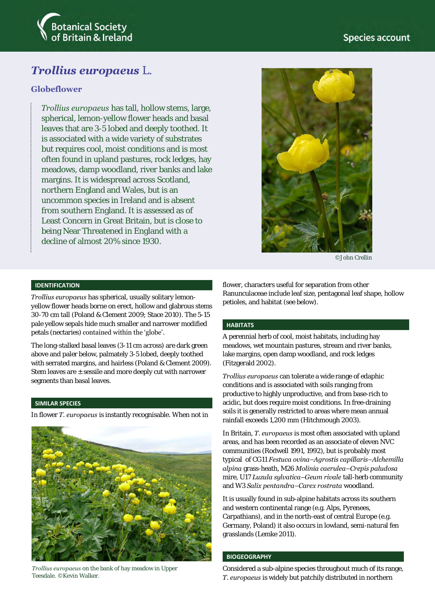

# *Trollius europaeus* L.

## **Globeflower**

*Trollius europaeus* has tall, hollow stems, large, spherical, lemon-yellow flower heads and basal leaves that are 3-5 lobed and deeply toothed. It is associated with a wide variety of substrates but requires cool, moist conditions and is most often found in upland pastures, rock ledges, hay meadows, damp woodland, river banks and lake margins. It is widespread across Scotland, northern England and Wales, but is an uncommon species in Ireland and is absent from southern England. It is assessed as of Least Concern in Great Britain, but is close to being Near Threatened in England with a decline of almost 20% since 1930.



©John Crellin

### **IDENTIFICATION**

*Trollius europaeus* has spherical, usually solitary lemonyellow flower heads borne on erect, hollow and glabrous stems 30-70 cm tall (Poland & Clement 2009; Stace 2010). The 5-15 pale yellow sepals hide much smaller and narrower modified petals (nectaries) contained within the 'globe'.

The long-stalked basal leaves (3-11 cm across) are dark green above and paler below, palmately 3-5 lobed, deeply toothed with serrated margins, and hairless (Poland & Clement 2009). Stem leaves are  $\pm$  sessile and more deeply cut with narrower segments than basal leaves.

#### **SIMILAR SPECIES**

In flower *T. europaeus* is instantly recognisable. When not in



*Trollius europaeus* on the bank of hay meadow in Upper Teesdale. ©Kevin Walker.

flower, characters useful for separation from other Ranunculaceae include leaf size, pentagonal leaf shape, hollow petioles, and habitat (see below).

#### **HABITATS**

A perennial herb of cool, moist habitats, including hay meadows, wet mountain pastures, stream and river banks, lake margins, open damp woodland, and rock ledges (Fitzgerald 2002).

*Trollius europaeus* can tolerate a wide range of edaphic conditions and is associated with soils ranging from productive to highly unproductive, and from base-rich to acidic, but does require moist conditions. In free-draining soils it is generally restricted to areas where mean annual rainfall exceeds 1,200 mm (Hitchmough 2003)*.* 

In Britain, *T. europaeus* is most often associated with upland areas, and has been recorded as an associate of eleven NVC communities (Rodwell 1991, 1992), but is probably most typical of CG11 *Festuca ovina–Agrostis capillaris–Alchemilla alpina* grass-heath, M26 *Molinia caerulea–Crepis paludosa*  mire, U17 *Luzula sylvatica–Geum rivale* tall-herb community and W3 *Salix pentandra–Carex rostrata* woodland.

It is usually found in sub-alpine habitats across its southern and western continental range (e.g. Alps, Pyrenees, Carpathians), and in the north-east of central Europe (e.g. Germany, Poland) it also occurs in lowland, semi-natural fen grasslands (Lemke 2011).

#### **BIOGEOGRAPHY**

Considered a sub-alpine species throughout much of its range, *T. europaeus* is widely but patchily distributed in northern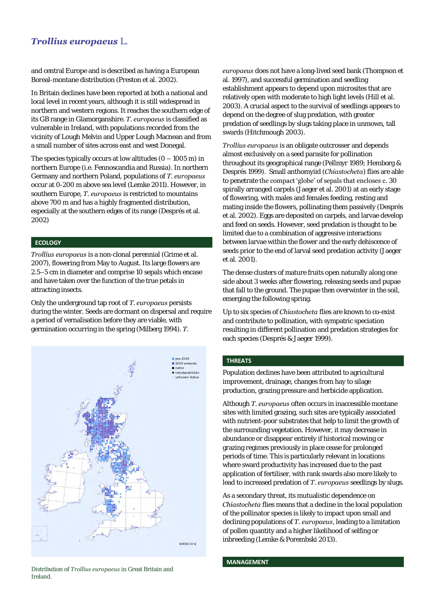## *Trollius europaeus* L.

and central Europe and is described as having a European Boreal-montane distribution (Preston et al. 2002).

In Britain declines have been reported at both a national and local level in recent years, although it is still widespread in northern and western regions. It reaches the southern edge of its GB range in Glamorganshire. *T. europaeus* is classified as vulnerable in Ireland, with populations recorded from the vicinity of Lough Melvin and Upper Lough Macnean and from a small number of sites across east and west Donegal.

The species typically occurs at low altitudes  $(0 - 1005 \text{ m})$  in northern Europe (i.e. Fennoscandia and Russia). In northern Germany and northern Poland, populations of *T. europaeus* occur at 0-200 m above sea level (Lemke 2011). However, in southern Europe, *T. europaeus* is restricted to mountains above 700 m and has a highly fragmented distribution, especially at the southern edges of its range (Després et al. 2002)

#### **ECOLOGY**

*Trollius europaeus* is a non-clonal perennial (Grime et al. 2007), flowering from May to August. Its large flowers are 2.5–5 cm in diameter and comprise 10 sepals which encase and have taken over the function of the true petals in attracting insects.

Only the underground tap root of *T. europaeus* persists during the winter. Seeds are dormant on dispersal and require a period of vernalisation before they are viable, with germination occurring in the spring (Milberg 1994). *T.* 



Distribution of *Trollius europaeus* in Great Britain and Ireland.

*europaeus* does not have a long-lived seed bank (Thompson et al. 1997), and successful germination and seedling establishment appears to depend upon microsites that are relatively open with moderate to high light levels (Hill et al. 2003). A crucial aspect to the survival of seedlings appears to depend on the degree of slug predation, with greater predation of seedlings by slugs taking place in unmown, tall swards (Hitchmough 2003).

*Trollius europaeus* is an obligate outcrosser and depends almost exclusively on a seed parasite for pollination throughout its geographical range (Pellmyr 1989; Hemborg & Després 1999). Small anthomyiid (*Chiastocheta*) flies are able to penetrate the compact 'globe' of sepals that encloses c. 30 spirally arranged carpels (Jaeger et al. 2001) at an early stage of flowering, with males and females feeding, resting and mating inside the flowers, pollinating them passively (Després et al. 2002). Eggs are deposited on carpels, and larvae develop and feed on seeds. However, seed predation is thought to be limited due to a combination of aggressive interactions between larvae within the flower and the early dehiscence of seeds prior to the end of larval seed predation activity (Jaeger et al. 2001).

The dense clusters of mature fruits open naturally along one side about 3 weeks after flowering, releasing seeds and pupae that fall to the ground. The pupae then overwinter in the soil, emerging the following spring.

Up to six species of *Chiastocheta* flies are known to co-exist and contribute to pollination, with sympatric speciation resulting in different pollination and predation strategies for each species (Després & Jaeger 1999).

#### **THREATS**

Population declines have been attributed to agricultural improvement, drainage, changes from hay to silage production, grazing pressure and herbicide application.

Although *T. europaeus* often occurs in inaccessible montane sites with limited grazing, such sites are typically associated with nutrient-poor substrates that help to limit the growth of the surrounding vegetation. However, it may decrease in abundance or disappear entirely if historical mowing or grazing regimes previously in place cease for prolonged periods of time. This is particularly relevant in locations where sward productivity has increased due to the past application of fertiliser, with rank swards also more likely to lead to increased predation of *T. europaeus* seedlings by slugs.

As a secondary threat, its mutualistic dependence on *Chiastocheta* flies means that a decline in the local population of the pollinator species is likely to impact upon small and declining populations of *T. europaeus*, leading to a limitation of pollen quantity and a higher likelihood of selfing or inbreeding (Lemke & Porembski 2013).

#### **MANAGEMENT**